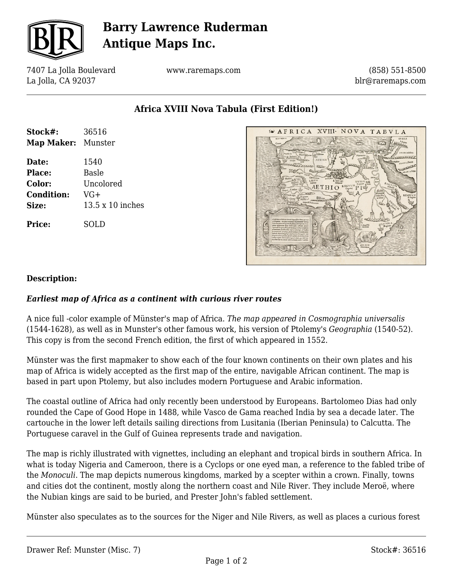

# **Barry Lawrence Ruderman Antique Maps Inc.**

7407 La Jolla Boulevard La Jolla, CA 92037

www.raremaps.com

(858) 551-8500 blr@raremaps.com

**Africa XVIII Nova Tabula (First Edition!)**

| Stock#:                   | 36516                   |
|---------------------------|-------------------------|
| <b>Map Maker:</b> Munster |                         |
| Date:                     | 1540                    |
| Place:                    | <b>Basle</b>            |
| <b>Color:</b>             | Uncolored               |
| <b>Condition:</b>         | VG+                     |
| Size:                     | $13.5 \times 10$ inches |
| <b>Price:</b>             | SOLD                    |



### **Description:**

### *Earliest map of Africa as a continent with curious river routes*

A nice full -color example of Münster's map of Africa. *The map appeared in Cosmographia universalis* (1544-1628), as well as in Munster's other famous work, his version of Ptolemy's *Geographia* (1540-52). This copy is from the second French edition, the first of which appeared in 1552.

Münster was the first mapmaker to show each of the four known continents on their own plates and his map of Africa is widely accepted as the first map of the entire, navigable African continent. The map is based in part upon Ptolemy, but also includes modern Portuguese and Arabic information.

The coastal outline of Africa had only recently been understood by Europeans. Bartolomeo Dias had only rounded the Cape of Good Hope in 1488, while Vasco de Gama reached India by sea a decade later. The cartouche in the lower left details sailing directions from Lusitania (Iberian Peninsula) to Calcutta. The Portuguese caravel in the Gulf of Guinea represents trade and navigation.

The map is richly illustrated with vignettes, including an elephant and tropical birds in southern Africa. In what is today Nigeria and Cameroon, there is a Cyclops or one eyed man, a reference to the fabled tribe of the *Monoculi*. The map depicts numerous kingdoms, marked by a scepter within a crown. Finally, towns and cities dot the continent, mostly along the northern coast and Nile River. They include Meroë, where the Nubian kings are said to be buried, and Prester John's fabled settlement.

Münster also speculates as to the sources for the Niger and Nile Rivers, as well as places a curious forest